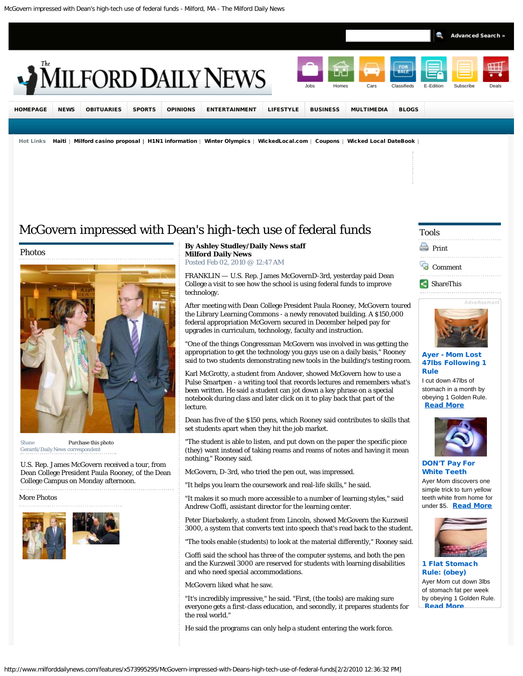<span id="page-0-0"></span>

# [McGovern impressed with Dean's high-tech use of federal funds](#page-0-0)

Photos



Shane [Purchase this photo](http://milforddailynews.mycapture.com/mycapture/remoteimage.asp?BackText=Back&BackURL=http://www.milforddailynews.com/features/x573995295/McGovern-impressed-with-Deans-high-tech-use-of-federal-funds&ThumbPath=http://www.milforddailynews.com/archive/x1878075967/g0c80c87af024de40e69cc422825764b453caf21180e19e.jpg&PreviewPath=http://www.milforddailynews.com/archive/x1878075967/g190190cb6d9893e3b9475cee00dcf220253517c35a2439.jpg&PricingSheetID=1574&Notes=g0000003007891e21b2361ccbbef174cfc49a9c0f3d62ea.jpg) Gerardi/Daily News correspondent

U.S. Rep. James McGovern received a tour, from Dean College President Paula Rooney, of the Dean College Campus on Monday afternoon.

More Photos



#### **By Ashley Studley/Daily News staff [Milford Daily News](http://www.milforddailynews.com/)** Posted Feb 02, 2010 @ 12:47 AM

FRANKLIN — U.S. Rep. James McGovernD-3rd, yesterday paid Dean College a visit to see how the school is using federal funds to improve technology.

After meeting with Dean College President Paula Rooney, McGovern toured the Library Learning Commons - a newly renovated building. A \$150,000 federal appropriation McGovern secured in December helped pay for upgrades in curriculum, technology, faculty and instruction.

"One of the things Congressman McGovern was involved in was getting the appropriation to get the technology you guys use on a daily basis," Rooney said to two students demonstrating new tools in the building's testing room.

Karl McGrotty, a student from Andover, showed McGovern how to use a Pulse Smartpen - a writing tool that records lectures and remembers what's been written. He said a student can jot down a key phrase on a special notebook during class and later click on it to play back that part of the lecture.

Dean has five of the \$150 pens, which Rooney said contributes to skills that set students apart when they hit the job market.

"The student is able to listen, and put down on the paper the specific piece (they) want instead of taking reams and reams of notes and having it mean nothing," Rooney said.

McGovern, D-3rd, who tried the pen out, was impressed.

"It helps you learn the coursework and real-life skills," he said.

"It makes it so much more accessible to a number of learning styles," said Andrew Cioffi, assistant director for the learning center.

Peter Diarbakerly, a student from Lincoln, showed McGovern the Kurzweil 3000, a system that converts text into speech that's read back to the student.

"The tools enable (students) to look at the material differently," Rooney said.

Cioffi said the school has three of the computer systems, and both the pen and the Kurzweil 3000 are reserved for students with learning disabilities and who need special accommodations.

McGovern liked what he saw.

"It's incredibly impressive," he said. "First, (the tools) are making sure everyone gets a first-class education, and secondly, it prepares students for the real world."

He said the programs can only help a student entering the work force.

# Tools



- **[Comment](#page-1-0)**
- [ShareThis](javascript:void(0))



## Ayer - Mom Lost 47lbs Following 1 Rule

I cut down 47lbs of stomach in a month by obeying 1 Golden Rule. [Read More](http://altfarm.mediaplex.com/ad/ck/14411-94465-18503-0?mpt=[7853]&ck=3)



DON'T Pay For White Teeth

Ayer Mom discovers one simple trick to turn yellow teeth white from home for under \$5. [Read More](http://altfarm.mediaplex.com/ad/ck/14411-94465-18503-0?mpt=[7853]&ck=1)



1 Flat Stomach Rule: (obey) Ayer Mom cut down 3lbs of stomach fat per week by obeying 1 Golden Rule. [Read More](http://altfarm.mediaplex.com/ad/ck/14411-94465-18503-0?mpt=[7853]&ck=3)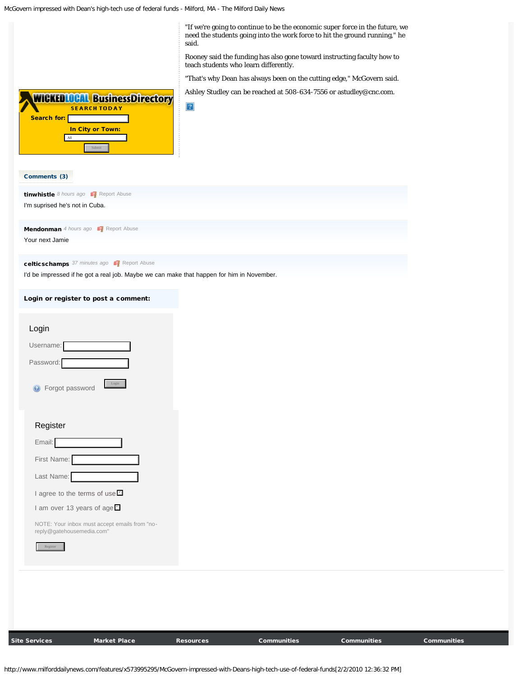McGovern impressed with Dean's high-tech use of federal funds - Milford, MA - The Milford Daily News

<span id="page-1-0"></span>